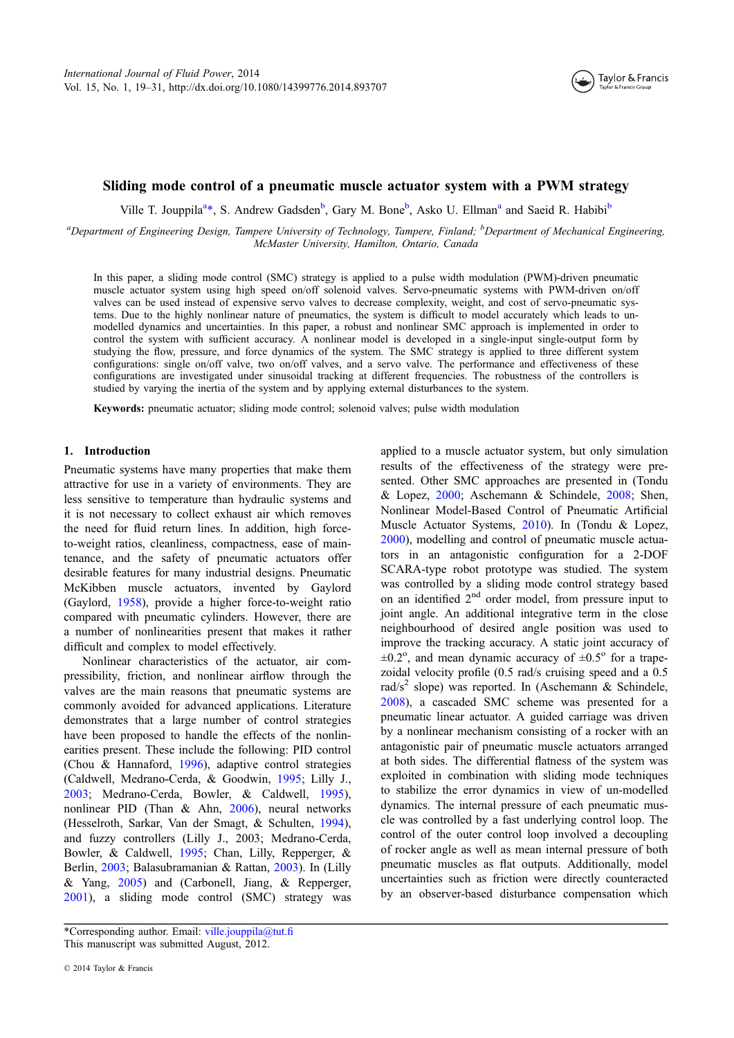

# Sliding mode control of a pneumatic muscle actuator system with a PWM strategy

Ville T. Jouppila<sup>a</sup>\*, S. Andrew Gadsden<sup>b</sup>, Gary M. Bone<sup>b</sup>, Asko U. Ellman<sup>a</sup> and Saeid R. Habibi<sup>b</sup>

<sup>a</sup>Department of Engineering Design, Tampere University of Technology, Tampere, Finland; <sup>b</sup>Department of Mechanical Engineering, McMaster University, Hamilton, Ontario, Canada

In this paper, a sliding mode control (SMC) strategy is applied to a pulse width modulation (PWM)-driven pneumatic muscle actuator system using high speed on/off solenoid valves. Servo-pneumatic systems with PWM-driven on/off valves can be used instead of expensive servo valves to decrease complexity, weight, and cost of servo-pneumatic systems. Due to the highly nonlinear nature of pneumatics, the system is difficult to model accurately which leads to unmodelled dynamics and uncertainties. In this paper, a robust and nonlinear SMC approach is implemented in order to control the system with sufficient accuracy. A nonlinear model is developed in a single-input single-output form by studying the flow, pressure, and force dynamics of the system. The SMC strategy is applied to three different system configurations: single on/off valve, two on/off valves, and a servo valve. The performance and effectiveness of these configurations are investigated under sinusoidal tracking at different frequencies. The robustness of the controllers is studied by varying the inertia of the system and by applying external disturbances to the system.

Keywords: pneumatic actuator; sliding mode control; solenoid valves; pulse width modulation

# 1. Introduction

Pneumatic systems have many properties that make them attractive for use in a variety of environments. They are less sensitive to temperature than hydraulic systems and it is not necessary to collect exhaust air which removes the need for fluid return lines. In addition, high forceto-weight ratios, cleanliness, compactness, ease of maintenance, and the safety of pneumatic actuators offer desirable features for many industrial designs. Pneumatic McKibben muscle actuators, invented by Gaylord (Gaylord, [1958](#page-11-0)), provide a higher force-to-weight ratio compared with pneumatic cylinders. However, there are a number of nonlinearities present that makes it rather difficult and complex to model effectively.

Nonlinear characteristics of the actuator, air compressibility, friction, and nonlinear airflow through the valves are the main reasons that pneumatic systems are commonly avoided for advanced applications. Literature demonstrates that a large number of control strategies have been proposed to handle the effects of the nonlinearities present. These include the following: PID control (Chou & Hannaford, [1996\)](#page-11-0), adaptive control strategies (Caldwell, Medrano-Cerda, & Goodwin, [1995;](#page-11-0) Lilly J., [2003;](#page-11-0) Medrano-Cerda, Bowler, & Caldwell, [1995](#page-11-0)), nonlinear PID (Than & Ahn, [2006](#page-12-0)), neural networks (Hesselroth, Sarkar, Van der Smagt, & Schulten, [1994](#page-11-0)), and fuzzy controllers (Lilly J., 2003; Medrano-Cerda, Bowler, & Caldwell, [1995](#page-11-0); Chan, Lilly, Repperger, & Berlin, [2003](#page-11-0); Balasubramanian & Rattan, [2003](#page-11-0)). In (Lilly & Yang, [2005\)](#page-11-0) and (Carbonell, Jiang, & Repperger, [2001\)](#page-11-0), a sliding mode control (SMC) strategy was applied to a muscle actuator system, but only simulation results of the effectiveness of the strategy were presented. Other SMC approaches are presented in (Tondu & Lopez, [2000;](#page-12-0) Aschemann & Schindele, [2008](#page-11-0); Shen, Nonlinear Model-Based Control of Pneumatic Artificial Muscle Actuator Systems, [2010\)](#page-12-0). In (Tondu & Lopez, [2000\)](#page-12-0), modelling and control of pneumatic muscle actuators in an antagonistic configuration for a 2-DOF SCARA-type robot prototype was studied. The system was controlled by a sliding mode control strategy based on an identified  $2<sup>nd</sup>$  order model, from pressure input to joint angle. An additional integrative term in the close neighbourhood of desired angle position was used to improve the tracking accuracy. A static joint accuracy of  $\pm 0.2^{\circ}$ , and mean dynamic accuracy of  $\pm 0.5^{\circ}$  for a trapezoidal velocity profile (0.5 rad/s cruising speed and a 0.5 rad/s<sup>2</sup> slope) was reported. In (Aschemann & Schindele, [2008\)](#page-11-0), a cascaded SMC scheme was presented for a pneumatic linear actuator. A guided carriage was driven by a nonlinear mechanism consisting of a rocker with an antagonistic pair of pneumatic muscle actuators arranged at both sides. The differential flatness of the system was exploited in combination with sliding mode techniques to stabilize the error dynamics in view of un-modelled dynamics. The internal pressure of each pneumatic muscle was controlled by a fast underlying control loop. The control of the outer control loop involved a decoupling of rocker angle as well as mean internal pressure of both pneumatic muscles as flat outputs. Additionally, model uncertainties such as friction were directly counteracted by an observer-based disturbance compensation which

<sup>\*</sup>Corresponding author. Email: [ville.jouppila@tut.](mailto:ville.jouppila@tut.fi)fi This manuscript was submitted August, 2012.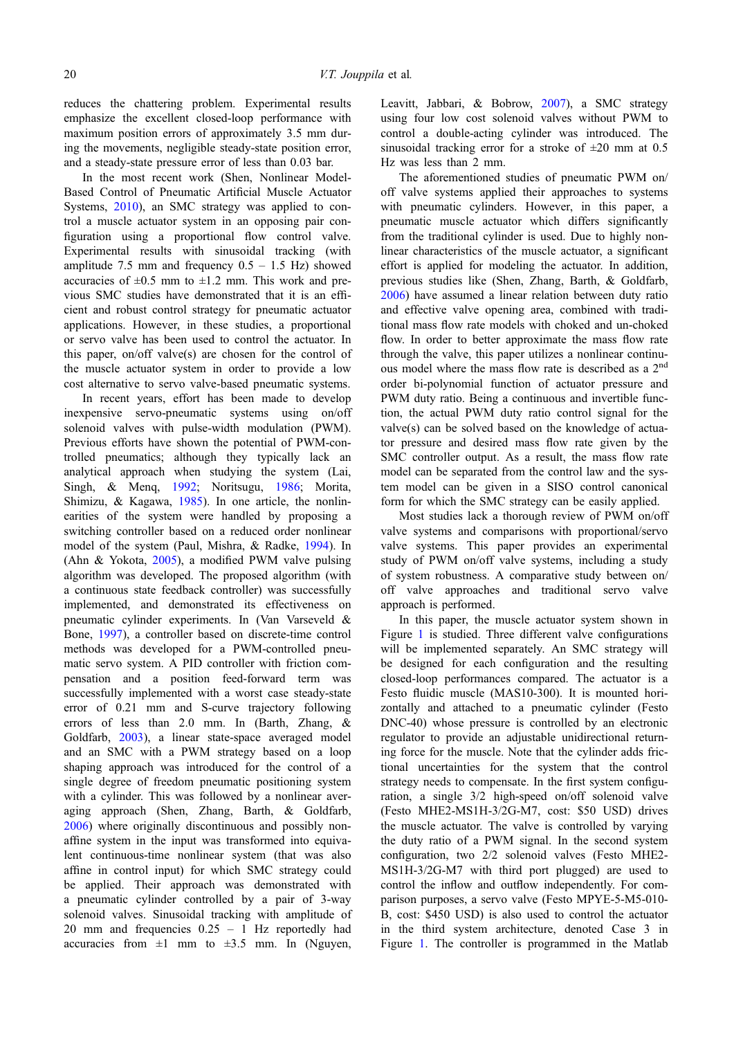reduces the chattering problem. Experimental results emphasize the excellent closed-loop performance with maximum position errors of approximately 3.5 mm during the movements, negligible steady-state position error, and a steady-state pressure error of less than 0.03 bar.

In the most recent work (Shen, Nonlinear Model-Based Control of Pneumatic Artificial Muscle Actuator Systems, [2010](#page-12-0)), an SMC strategy was applied to control a muscle actuator system in an opposing pair configuration using a proportional flow control valve. Experimental results with sinusoidal tracking (with amplitude 7.5 mm and frequency  $0.5 - 1.5$  Hz) showed accuracies of  $\pm 0.5$  mm to  $\pm 1.2$  mm. This work and previous SMC studies have demonstrated that it is an efficient and robust control strategy for pneumatic actuator applications. However, in these studies, a proportional or servo valve has been used to control the actuator. In this paper, on/off valve(s) are chosen for the control of the muscle actuator system in order to provide a low cost alternative to servo valve-based pneumatic systems.

In recent years, effort has been made to develop inexpensive servo-pneumatic systems using on/off solenoid valves with pulse-width modulation (PWM). Previous efforts have shown the potential of PWM-controlled pneumatics; although they typically lack an analytical approach when studying the system (Lai, Singh, & Menq, [1992;](#page-11-0) Noritsugu, [1986](#page-12-0); Morita, Shimizu, & Kagawa, [1985\)](#page-12-0). In one article, the nonlinearities of the system were handled by proposing a switching controller based on a reduced order nonlinear model of the system (Paul, Mishra, & Radke, [1994\)](#page-12-0). In (Ahn & Yokota, [2005\)](#page-11-0), a modified PWM valve pulsing algorithm was developed. The proposed algorithm (with a continuous state feedback controller) was successfully implemented, and demonstrated its effectiveness on pneumatic cylinder experiments. In (Van Varseveld & Bone, [1997\)](#page-12-0), a controller based on discrete-time control methods was developed for a PWM-controlled pneumatic servo system. A PID controller with friction compensation and a position feed-forward term was successfully implemented with a worst case steady-state error of 0.21 mm and S-curve trajectory following errors of less than 2.0 mm. In (Barth, Zhang, & Goldfarb, [2003\)](#page-11-0), a linear state-space averaged model and an SMC with a PWM strategy based on a loop shaping approach was introduced for the control of a single degree of freedom pneumatic positioning system with a cylinder. This was followed by a nonlinear averaging approach (Shen, Zhang, Barth, & Goldfarb, [2006\)](#page-12-0) where originally discontinuous and possibly nonaffine system in the input was transformed into equivalent continuous-time nonlinear system (that was also affine in control input) for which SMC strategy could be applied. Their approach was demonstrated with a pneumatic cylinder controlled by a pair of 3-way solenoid valves. Sinusoidal tracking with amplitude of 20 mm and frequencies 0.25 – 1 Hz reportedly had accuracies from  $\pm 1$  mm to  $\pm 3.5$  mm. In (Nguyen,

Leavitt, Jabbari, & Bobrow, [2007](#page-12-0)), a SMC strategy using four low cost solenoid valves without PWM to control a double-acting cylinder was introduced. The sinusoidal tracking error for a stroke of  $\pm 20$  mm at 0.5 Hz was less than 2 mm.

The aforementioned studies of pneumatic PWM on/ off valve systems applied their approaches to systems with pneumatic cylinders. However, in this paper, a pneumatic muscle actuator which differs significantly from the traditional cylinder is used. Due to highly nonlinear characteristics of the muscle actuator, a significant effort is applied for modeling the actuator. In addition, previous studies like (Shen, Zhang, Barth, & Goldfarb, [2006\)](#page-12-0) have assumed a linear relation between duty ratio and effective valve opening area, combined with traditional mass flow rate models with choked and un-choked flow. In order to better approximate the mass flow rate through the valve, this paper utilizes a nonlinear continuous model where the mass flow rate is described as a  $2<sup>nd</sup>$ order bi-polynomial function of actuator pressure and PWM duty ratio. Being a continuous and invertible function, the actual PWM duty ratio control signal for the valve(s) can be solved based on the knowledge of actuator pressure and desired mass flow rate given by the SMC controller output. As a result, the mass flow rate model can be separated from the control law and the system model can be given in a SISO control canonical form for which the SMC strategy can be easily applied.

Most studies lack a thorough review of PWM on/off valve systems and comparisons with proportional/servo valve systems. This paper provides an experimental study of PWM on/off valve systems, including a study of system robustness. A comparative study between on/ off valve approaches and traditional servo valve approach is performed.

In this paper, the muscle actuator system shown in Figure [1](#page-2-0) is studied. Three different valve configurations will be implemented separately. An SMC strategy will be designed for each configuration and the resulting closed-loop performances compared. The actuator is a Festo fluidic muscle (MAS10-300). It is mounted horizontally and attached to a pneumatic cylinder (Festo DNC-40) whose pressure is controlled by an electronic regulator to provide an adjustable unidirectional returning force for the muscle. Note that the cylinder adds frictional uncertainties for the system that the control strategy needs to compensate. In the first system configuration, a single 3/2 high-speed on/off solenoid valve (Festo MHE2-MS1H-3/2G-M7, cost: \$50 USD) drives the muscle actuator. The valve is controlled by varying the duty ratio of a PWM signal. In the second system configuration, two 2/2 solenoid valves (Festo MHE2- MS1H-3/2G-M7 with third port plugged) are used to control the inflow and outflow independently. For comparison purposes, a servo valve (Festo MPYE-5-M5-010- B, cost: \$450 USD) is also used to control the actuator in the third system architecture, denoted Case 3 in Figure [1.](#page-2-0) The controller is programmed in the Matlab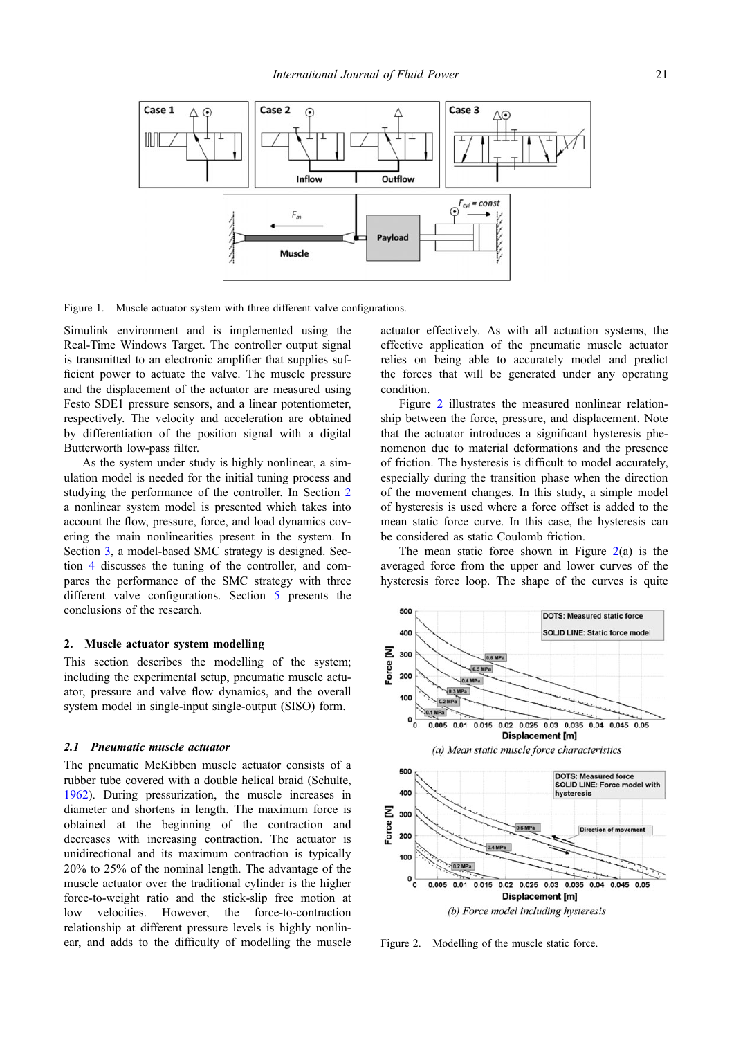<span id="page-2-0"></span>

Figure 1. Muscle actuator system with three different valve configurations.

Simulink environment and is implemented using the Real-Time Windows Target. The controller output signal is transmitted to an electronic amplifier that supplies sufficient power to actuate the valve. The muscle pressure and the displacement of the actuator are measured using Festo SDE1 pressure sensors, and a linear potentiometer, respectively. The velocity and acceleration are obtained by differentiation of the position signal with a digital Butterworth low-pass filter.

As the system under study is highly nonlinear, a simulation model is needed for the initial tuning process and studying the performance of the controller. In Section 2 a nonlinear system model is presented which takes into account the flow, pressure, force, and load dynamics covering the main nonlinearities present in the system. In Section [3,](#page-5-0) a model-based SMC strategy is designed. Section [4](#page-6-0) discusses the tuning of the controller, and compares the performance of the SMC strategy with three different valve configurations. Section [5](#page-10-0) presents the conclusions of the research.

# 2. Muscle actuator system modelling

This section describes the modelling of the system; including the experimental setup, pneumatic muscle actuator, pressure and valve flow dynamics, and the overall system model in single-input single-output (SISO) form.

## 2.1 Pneumatic muscle actuator

The pneumatic McKibben muscle actuator consists of a rubber tube covered with a double helical braid (Schulte, [1962\)](#page-12-0). During pressurization, the muscle increases in diameter and shortens in length. The maximum force is obtained at the beginning of the contraction and decreases with increasing contraction. The actuator is unidirectional and its maximum contraction is typically 20% to 25% of the nominal length. The advantage of the muscle actuator over the traditional cylinder is the higher force-to-weight ratio and the stick-slip free motion at low velocities. However, the force-to-contraction relationship at different pressure levels is highly nonlinear, and adds to the difficulty of modelling the muscle

actuator effectively. As with all actuation systems, the effective application of the pneumatic muscle actuator relies on being able to accurately model and predict the forces that will be generated under any operating condition.

Figure 2 illustrates the measured nonlinear relationship between the force, pressure, and displacement. Note that the actuator introduces a significant hysteresis phenomenon due to material deformations and the presence of friction. The hysteresis is difficult to model accurately, especially during the transition phase when the direction of the movement changes. In this study, a simple model of hysteresis is used where a force offset is added to the mean static force curve. In this case, the hysteresis can be considered as static Coulomb friction.

The mean static force shown in Figure  $2(a)$  is the averaged force from the upper and lower curves of the hysteresis force loop. The shape of the curves is quite



Figure 2. Modelling of the muscle static force.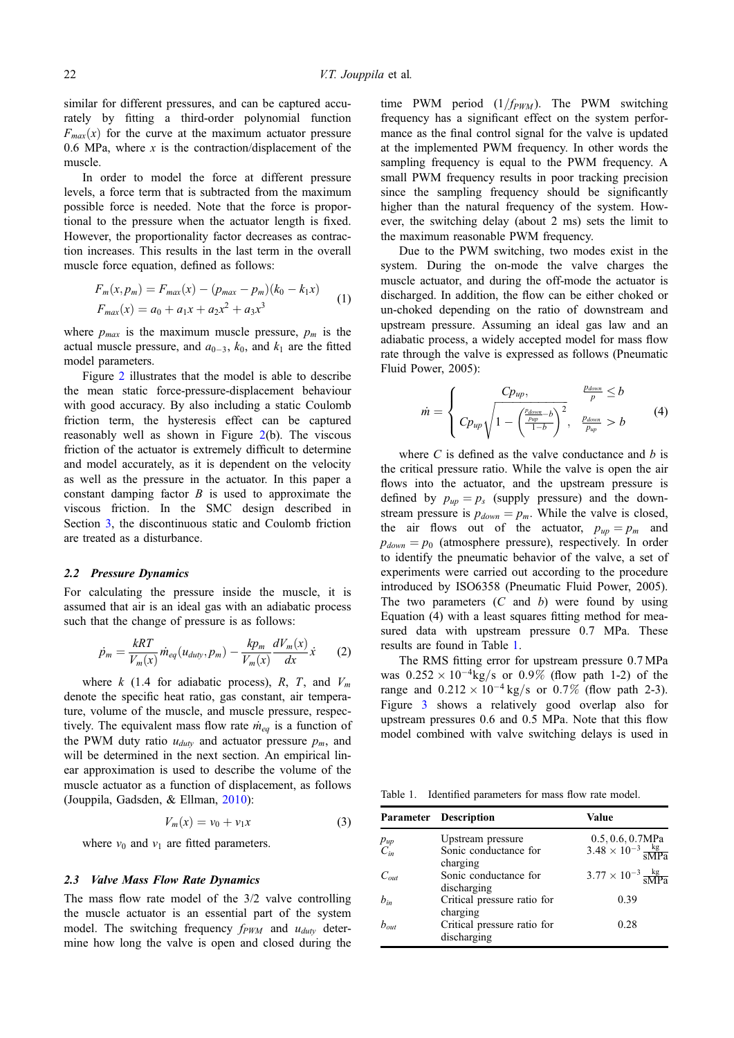similar for different pressures, and can be captured accurately by fitting a third-order polynomial function  $F_{max}(x)$  for the curve at the maximum actuator pressure 0.6 MPa, where  $x$  is the contraction/displacement of the muscle.

In order to model the force at different pressure levels, a force term that is subtracted from the maximum possible force is needed. Note that the force is proportional to the pressure when the actuator length is fixed. However, the proportionality factor decreases as contraction increases. This results in the last term in the overall muscle force equation, defined as follows:

$$
F_m(x, p_m) = F_{max}(x) - (p_{max} - p_m)(k_0 - k_1x)
$$
  
\n
$$
F_{max}(x) = a_0 + a_1x + a_2x^2 + a_3x^3
$$
 (1)

where  $p_{max}$  is the maximum muscle pressure,  $p_m$  is the actual muscle pressure, and  $a_{0-3}$ ,  $k_0$ , and  $k_1$  are the fitted model parameters.

Figure [2](#page-2-0) illustrates that the model is able to describe the mean static force-pressure-displacement behaviour with good accuracy. By also including a static Coulomb friction term, the hysteresis effect can be captured reasonably well as shown in Figure  $2(b)$  $2(b)$ . The viscous friction of the actuator is extremely difficult to determine and model accurately, as it is dependent on the velocity as well as the pressure in the actuator. In this paper a constant damping factor  $B$  is used to approximate the viscous friction. In the SMC design described in Section [3](#page-5-0), the discontinuous static and Coulomb friction are treated as a disturbance.

## 2.2 Pressure Dynamics

For calculating the pressure inside the muscle, it is assumed that air is an ideal gas with an adiabatic process such that the change of pressure is as follows:

$$
\dot{p}_m = \frac{kRT}{V_m(x)} \dot{m}_{eq}(u_{duty}, p_m) - \frac{kp_m}{V_m(x)} \frac{dV_m(x)}{dx} \dot{x}
$$
 (2)

where k (1.4 for adiabatic process), R, T, and  $V_m$ denote the specific heat ratio, gas constant, air temperature, volume of the muscle, and muscle pressure, respectively. The equivalent mass flow rate  $\dot{m}_{eq}$  is a function of the PWM duty ratio  $u_{duty}$  and actuator pressure  $p_m$ , and will be determined in the next section. An empirical linear approximation is used to describe the volume of the muscle actuator as a function of displacement, as follows (Jouppila, Gadsden, & Ellman, [2010](#page-11-0)):

$$
V_m(x) = v_0 + v_1 x \tag{3}
$$

where  $v_0$  and  $v_1$  are fitted parameters.

### 2.3 Valve Mass Flow Rate Dynamics

The mass flow rate model of the 3/2 valve controlling the muscle actuator is an essential part of the system model. The switching frequency  $f_{PWM}$  and  $u_{duty}$  determine how long the valve is open and closed during the

time PWM period  $(1/f_{\text{PWM}})$ . The PWM switching frequency has a significant effect on the system performance as the final control signal for the valve is updated at the implemented PWM frequency. In other words the sampling frequency is equal to the PWM frequency. A small PWM frequency results in poor tracking precision since the sampling frequency should be significantly higher than the natural frequency of the system. However, the switching delay (about 2 ms) sets the limit to the maximum reasonable PWM frequency.

Due to the PWM switching, two modes exist in the system. During the on-mode the valve charges the muscle actuator, and during the off-mode the actuator is discharged. In addition, the flow can be either choked or un-choked depending on the ratio of downstream and upstream pressure. Assuming an ideal gas law and an adiabatic process, a widely accepted model for mass flow rate through the valve is expressed as follows (Pneumatic Fluid Power, 2005):

$$
\dot{m} = \begin{cases}\nC p_{up}, & \frac{p_{down}}{p} \le b \\
C p_{up} \sqrt{1 - \left(\frac{p_{down}}{p} - b\right)^2}, & \frac{p_{down}}{p} > b \\
1 - \left(\frac{p_{up}}{p} - b\right)^2, & \frac{p_{down}}{p_{up}} > b\n\end{cases} (4)
$$

where  $C$  is defined as the valve conductance and  $b$  is the critical pressure ratio. While the valve is open the air flows into the actuator, and the upstream pressure is defined by  $p_{up} = p_s$  (supply pressure) and the downstream pressure is  $p_{down} = p_m$ . While the valve is closed, the air flows out of the actuator,  $p_{up} = p_m$  and  $p_{down} = p_0$  (atmosphere pressure), respectively. In order to identify the pneumatic behavior of the valve, a set of experiments were carried out according to the procedure introduced by ISO6358 (Pneumatic Fluid Power, 2005). The two parameters  $(C \text{ and } b)$  were found by using Equation (4) with a least squares fitting method for measured data with upstream pressure 0.7 MPa. These results are found in Table 1.

The RMS fitting error for upstream pressure 0:7 MPa was  $0.252 \times 10^{-4}$ kg/s or  $0.9\%$  (flow path 1-2) of the range and  $0.212 \times 10^{-4}$  kg/s or  $0.7\%$  (flow path 2-3). Figure [3](#page-4-0) shows a relatively good overlap also for upstream pressures 0.6 and 0.5 MPa. Note that this flow model combined with valve switching delays is used in

Table 1. Identified parameters for mass flow rate model.

|                      | <b>Parameter</b> Description                           | Value                                                                     |
|----------------------|--------------------------------------------------------|---------------------------------------------------------------------------|
| $P_{up}$<br>$C_{in}$ | Upstream pressure<br>Sonic conductance for<br>charging | $0.5, 0.6, 0.7MPa$<br>$3.48 \times 10^{-3} \frac{\text{kg}}{\text{sMPa}}$ |
| $C_{out}$            | Sonic conductance for<br>discharging                   | $3.77 \times 10^{-3} \frac{\text{kg}}{\text{sMPa}}$                       |
| $b_{in}$             | Critical pressure ratio for<br>charging                | 0.39                                                                      |
| $b_{out}$            | Critical pressure ratio for<br>discharging             | 0.28                                                                      |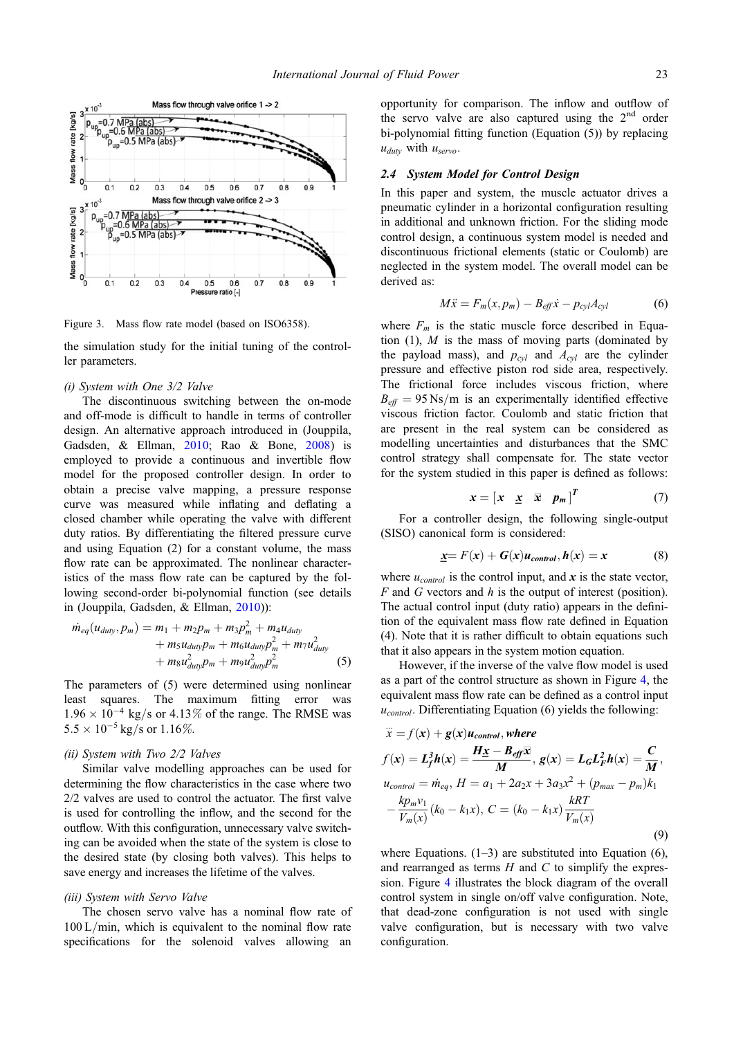<span id="page-4-0"></span>

Figure 3. Mass flow rate model (based on ISO6358).

the simulation study for the initial tuning of the controller parameters.

# (i) System with One 3/2 Valve

The discontinuous switching between the on-mode and off-mode is difficult to handle in terms of controller design. An alternative approach introduced in (Jouppila, Gadsden, & Ellman, [2010](#page-11-0); Rao & Bone, [2008](#page-12-0)) is employed to provide a continuous and invertible flow model for the proposed controller design. In order to obtain a precise valve mapping, a pressure response curve was measured while inflating and deflating a closed chamber while operating the valve with different duty ratios. By differentiating the filtered pressure curve and using Equation (2) for a constant volume, the mass flow rate can be approximated. The nonlinear characteristics of the mass flow rate can be captured by the following second-order bi-polynomial function (see details in (Jouppila, Gadsden, & Ellman, [2010](#page-11-0))):

$$
\dot{m}_{eq}(u_{duty}, p_m) = m_1 + m_2 p_m + m_3 p_m^2 + m_4 u_{duty} \n+ m_5 u_{duty} p_m + m_6 u_{duty} p_m^2 + m_7 u_{duty}^2 \n+ m_8 u_{duty}^2 p_m + m_9 u_{duty}^2 p_m^2
$$
\n(5)

The parameters of (5) were determined using nonlinear least squares. The maximum fitting error was  $1.96 \times 10^{-4}$  kg/s or 4.13% of the range. The RMSE was  $5.5 \times 10^{-5}$  kg/s or  $1.16\%$ .

# (ii) System with Two 2/2 Valves

Similar valve modelling approaches can be used for determining the flow characteristics in the case where two 2/2 valves are used to control the actuator. The first valve is used for controlling the inflow, and the second for the outflow. With this configuration, unnecessary valve switching can be avoided when the state of the system is close to the desired state (by closing both valves). This helps to save energy and increases the lifetime of the valves.

# (iii) System with Servo Valve

The chosen servo valve has a nominal flow rate of  $100 L/min$ , which is equivalent to the nominal flow rate specifications for the solenoid valves allowing an

opportunity for comparison. The inflow and outflow of the servo valve are also captured using the  $2<sup>nd</sup>$  order bi-polynomial fitting function (Equation (5)) by replacing  $u_{duty}$  with  $u_{servo}$ .

# 2.4 System Model for Control Design

In this paper and system, the muscle actuator drives a pneumatic cylinder in a horizontal configuration resulting in additional and unknown friction. For the sliding mode control design, a continuous system model is needed and discontinuous frictional elements (static or Coulomb) are neglected in the system model. The overall model can be derived as:

$$
M\ddot{x} = F_m(x, p_m) - B_{\text{eff}}\dot{x} - p_{\text{cyl}}A_{\text{cyl}} \tag{6}
$$

where  $F_m$  is the static muscle force described in Equation  $(1)$ , M is the mass of moving parts (dominated by the payload mass), and  $p_{cvl}$  and  $A_{cvl}$  are the cylinder pressure and effective piston rod side area, respectively. The frictional force includes viscous friction, where  $B_{\text{eff}} = 95 \text{ Ns/m}$  is an experimentally identified effective viscous friction factor. Coulomb and static friction that are present in the real system can be considered as modelling uncertainties and disturbances that the SMC control strategy shall compensate for. The state vector for the system studied in this paper is defined as follows:

$$
x = \begin{bmatrix} x & \underline{x} & \overline{x} & p_m \end{bmatrix}^T \tag{7}
$$

For a controller design, the following single-output (SISO) canonical form is considered:

$$
\underline{x} = F(x) + G(x)u_{control}, h(x) = x \tag{8}
$$

where  $u_{control}$  is the control input, and x is the state vector,  $F$  and  $G$  vectors and  $h$  is the output of interest (position). The actual control input (duty ratio) appears in the definition of the equivalent mass flow rate defined in Equation (4). Note that it is rather difficult to obtain equations such that it also appears in the system motion equation.

However, if the inverse of the valve flow model is used as a part of the control structure as shown in Figure [4,](#page-5-0) the equivalent mass flow rate can be defined as a control input  $u_{control}$ . Differentiating Equation (6) yields the following:

$$
\ddot{x} = f(\mathbf{x}) + g(\mathbf{x})u_{control}, \text{ where}
$$
\n
$$
f(\mathbf{x}) = L_f^3 h(\mathbf{x}) = \frac{H\mathbf{x} - B_{eff}\mathbf{x}}{M}, g(\mathbf{x}) = L_G L_F^2 h(\mathbf{x}) = \frac{C}{M},
$$
\n
$$
u_{control} = \dot{m}_{eq}, H = a_1 + 2a_2x + 3a_3x^2 + (p_{max} - p_m)k_1 - \frac{k p_m v_1}{V_m(\mathbf{x})}(k_0 - k_1x), C = (k_0 - k_1x)\frac{kRT}{V_m(\mathbf{x})}
$$
\n(9)

where Equations.  $(1-3)$  are substituted into Equation  $(6)$ , and rearranged as terms  $H$  and  $C$  to simplify the expression. Figure [4](#page-5-0) illustrates the block diagram of the overall control system in single on/off valve configuration. Note, that dead-zone configuration is not used with single valve configuration, but is necessary with two valve configuration.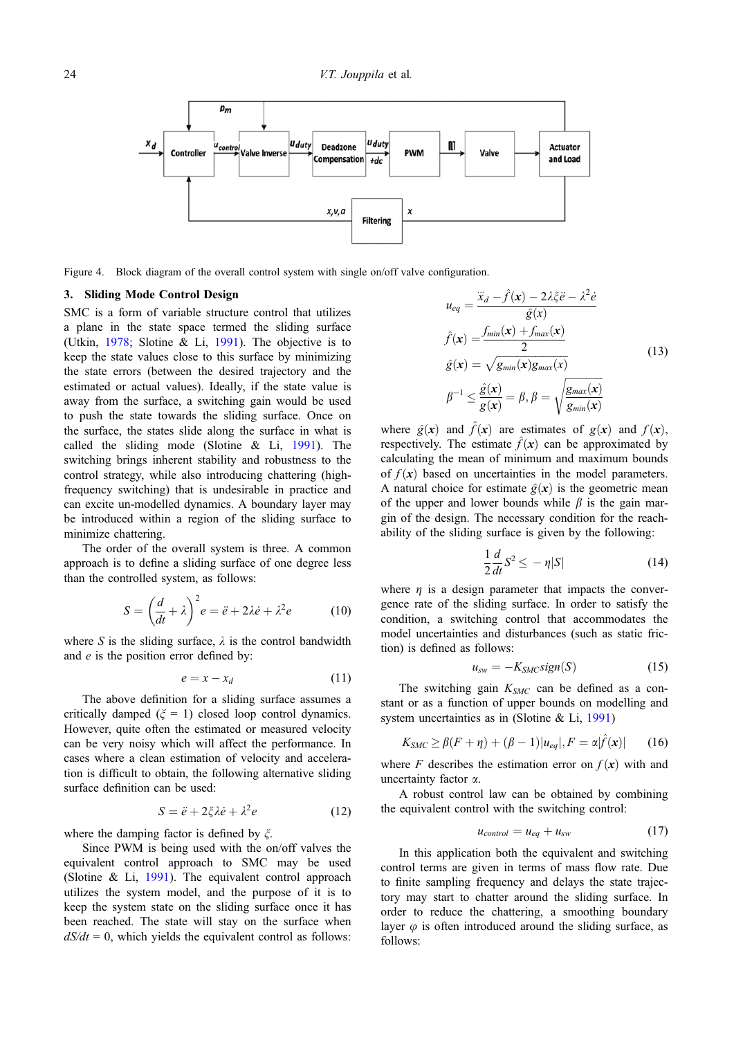<span id="page-5-0"></span>

Figure 4. Block diagram of the overall control system with single on/off valve configuration.

# 3. Sliding Mode Control Design

SMC is a form of variable structure control that utilizes a plane in the state space termed the sliding surface (Utkin, [1978;](#page-12-0) Slotine & Li, [1991](#page-12-0)). The objective is to keep the state values close to this surface by minimizing the state errors (between the desired trajectory and the estimated or actual values). Ideally, if the state value is away from the surface, a switching gain would be used to push the state towards the sliding surface. Once on the surface, the states slide along the surface in what is called the sliding mode (Slotine & Li, [1991\)](#page-12-0). The switching brings inherent stability and robustness to the control strategy, while also introducing chattering (highfrequency switching) that is undesirable in practice and can excite un-modelled dynamics. A boundary layer may be introduced within a region of the sliding surface to minimize chattering.

The order of the overall system is three. A common approach is to define a sliding surface of one degree less than the controlled system, as follows:

$$
S = \left(\frac{d}{dt} + \lambda\right)^2 e = \ddot{e} + 2\lambda \dot{e} + \lambda^2 e \tag{10}
$$

where S is the sliding surface,  $\lambda$  is the control bandwidth and e is the position error defined by:

$$
e = x - x_d \tag{11}
$$

The above definition for a sliding surface assumes a critically damped ( $\xi = 1$ ) closed loop control dynamics. However, quite often the estimated or measured velocity can be very noisy which will affect the performance. In cases where a clean estimation of velocity and acceleration is difficult to obtain, the following alternative sliding surface definition can be used:

$$
S = \ddot{e} + 2\xi \lambda \dot{e} + \lambda^2 e \tag{12}
$$

where the damping factor is defined by  $\xi$ .

Since PWM is being used with the on/off valves the equivalent control approach to SMC may be used (Slotine & Li, [1991\)](#page-12-0). The equivalent control approach utilizes the system model, and the purpose of it is to keep the system state on the sliding surface once it has been reached. The state will stay on the surface when  $dS/dt = 0$ , which yields the equivalent control as follows:

$$
u_{eq} = \frac{\ddot{x}_d - \hat{f}(\mathbf{x}) - 2\lambda \xi \ddot{e} - \lambda^2 \dot{e}}{\hat{g}(x)}
$$
  

$$
\hat{f}(\mathbf{x}) = \frac{f_{min}(\mathbf{x}) + f_{max}(\mathbf{x})}{2}
$$
  

$$
\hat{g}(\mathbf{x}) = \sqrt{g_{min}(\mathbf{x})g_{max}(x)}
$$
  

$$
\beta^{-1} \le \frac{\hat{g}(\mathbf{x})}{g(\mathbf{x})} = \beta, \beta = \sqrt{\frac{g_{max}(\mathbf{x})}{g_{min}(\mathbf{x})}}
$$
 (13)

where  $\hat{g}(x)$  and  $\hat{f}(x)$  are estimates of  $g(x)$  and  $f(x)$ , respectively. The estimate  $\hat{f}(\mathbf{x})$  can be approximated by calculating the mean of minimum and maximum bounds of  $f(x)$  based on uncertainties in the model parameters. A natural choice for estimate  $\hat{g}(\mathbf{x})$  is the geometric mean of the upper and lower bounds while  $\beta$  is the gain margin of the design. The necessary condition for the reachability of the sliding surface is given by the following:

$$
\frac{1}{2}\frac{d}{dt}S^2 \le -\eta|S|\tag{14}
$$

where  $\eta$  is a design parameter that impacts the convergence rate of the sliding surface. In order to satisfy the condition, a switching control that accommodates the model uncertainties and disturbances (such as static friction) is defined as follows:

$$
u_{sw} = -K_{SMC}\text{sign}(S) \tag{15}
$$

The switching gain  $K_{SMC}$  can be defined as a constant or as a function of upper bounds on modelling and system uncertainties as in (Slotine & Li, [1991\)](#page-12-0)

$$
K_{SMC} \ge \beta(F+\eta) + (\beta - 1)|u_{eq}|, F = \alpha|\hat{f}(\mathbf{x})| \qquad (16)
$$

where F describes the estimation error on  $f(x)$  with and uncertainty factor  $\alpha$ .

A robust control law can be obtained by combining the equivalent control with the switching control:

$$
u_{control} = u_{eq} + u_{sw} \tag{17}
$$

In this application both the equivalent and switching control terms are given in terms of mass flow rate. Due to finite sampling frequency and delays the state trajectory may start to chatter around the sliding surface. In order to reduce the chattering, a smoothing boundary layer  $\varphi$  is often introduced around the sliding surface, as follows: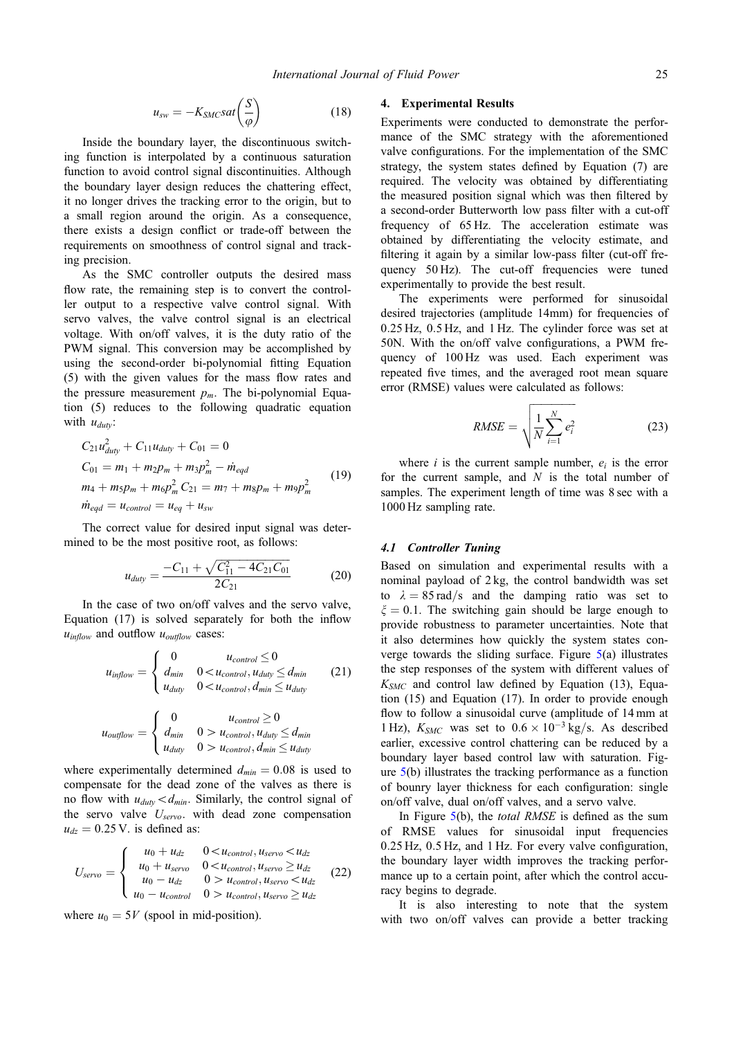$$
u_{sw} = -K_{SMCS}at\left(\frac{S}{\varphi}\right) \tag{18}
$$

<span id="page-6-0"></span>Inside the boundary layer, the discontinuous switching function is interpolated by a continuous saturation function to avoid control signal discontinuities. Although the boundary layer design reduces the chattering effect, it no longer drives the tracking error to the origin, but to a small region around the origin. As a consequence, there exists a design conflict or trade-off between the requirements on smoothness of control signal and tracking precision.

As the SMC controller outputs the desired mass flow rate, the remaining step is to convert the controller output to a respective valve control signal. With servo valves, the valve control signal is an electrical voltage. With on/off valves, it is the duty ratio of the PWM signal. This conversion may be accomplished by using the second-order bi-polynomial fitting Equation (5) with the given values for the mass flow rates and the pressure measurement  $p_m$ . The bi-polynomial Equation (5) reduces to the following quadratic equation with  $u_{duty}$ :

$$
C_{21}u_{duty}^2 + C_{11}u_{duty} + C_{01} = 0
$$
  
\n
$$
C_{01} = m_1 + m_2p_m + m_3p_m^2 - \dot{m}_{eqd}
$$
  
\n
$$
m_4 + m_5p_m + m_6p_m^2 C_{21} = m_7 + m_8p_m + m_9p_m^2
$$
\n
$$
\dot{m}_{eqd} = u_{control} = u_{eq} + u_{sw}
$$
\n(19)

The correct value for desired input signal was determined to be the most positive root, as follows:

$$
u_{duty} = \frac{-C_{11} + \sqrt{C_{11}^2 - 4C_{21}C_{01}}}{2C_{21}} \tag{20}
$$

In the case of two on/off valves and the servo valve, Equation (17) is solved separately for both the inflow  $u_{inflow}$  and outflow  $u_{outflow}$  cases:

$$
u_{\text{inflow}} = \begin{cases} 0 & u_{\text{control}} \leq 0\\ d_{\text{min}} & 0 < u_{\text{control}}, u_{\text{duty}} \leq d_{\text{min}}\\ u_{\text{duty}} & 0 < u_{\text{control}}, d_{\text{min}} \leq u_{\text{duty}} \end{cases} \tag{21}
$$

$$
u_{\text{outflow}} = \begin{cases} 0 & u_{\text{control}} \ge 0\\ d_{\text{min}} & 0 > u_{\text{control}}, u_{\text{duty}} \le d_{\text{min}}\\ u_{\text{duty}} & 0 > u_{\text{control}}, d_{\text{min}} \le u_{\text{duty}} \end{cases}
$$

where experimentally determined  $d_{min} = 0.08$  is used to compensate for the dead zone of the valves as there is no flow with  $u_{duty} < d_{min}$ . Similarly, the control signal of the servo valve  $U_{servo}$ . with dead zone compensation  $u_{dz} = 0.25$  V. is defined as:

$$
U_{servo} = \begin{cases} u_0 + u_{dz} & 0 < u_{control}, u_{servo} < u_{dz} \\ u_0 + u_{servo} & 0 < u_{control}, u_{servo} \ge u_{dz} \\ u_0 - u_{dz} & 0 > u_{control}, u_{servo} < u_{dz} \\ u_0 - u_{control} & 0 > u_{control}, u_{servo} \ge u_{dz} \end{cases} \tag{22}
$$

where  $u_0 = 5V$  (spool in mid-position).

### 4. Experimental Results

Experiments were conducted to demonstrate the performance of the SMC strategy with the aforementioned valve configurations. For the implementation of the SMC strategy, the system states defined by Equation (7) are required. The velocity was obtained by differentiating the measured position signal which was then filtered by a second-order Butterworth low pass filter with a cut-off frequency of 65 Hz. The acceleration estimate was obtained by differentiating the velocity estimate, and filtering it again by a similar low-pass filter (cut-off frequency 50 Hz). The cut-off frequencies were tuned experimentally to provide the best result.

The experiments were performed for sinusoidal desired trajectories (amplitude 14mm) for frequencies of 0:25 Hz, 0:5 Hz, and 1 Hz. The cylinder force was set at 50N. With the on/off valve configurations, a PWM frequency of 100 Hz was used. Each experiment was repeated five times, and the averaged root mean square error (RMSE) values were calculated as follows:

$$
RMSE = \sqrt{\frac{1}{N} \sum_{i=1}^{N} e_i^2}
$$
 (23)

where  $i$  is the current sample number,  $e_i$  is the error for the current sample, and  $N$  is the total number of samples. The experiment length of time was 8 sec with a 1000 Hz sampling rate.

# 4.1 Controller Tuning

Based on simulation and experimental results with a nominal payload of 2 kg, the control bandwidth was set to  $\lambda = 85 \text{ rad/s}$  and the damping ratio was set to  $\xi = 0.1$ . The switching gain should be large enough to provide robustness to parameter uncertainties. Note that it also determines how quickly the system states converge towards the sliding surface. Figure [5\(](#page-7-0)a) illustrates the step responses of the system with different values of  $K<sub>SMC</sub>$  and control law defined by Equation (13), Equation (15) and Equation (17). In order to provide enough flow to follow a sinusoidal curve (amplitude of 14 mm at 1 Hz),  $K_{SMC}$  was set to  $0.6 \times 10^{-3}$  kg/s. As described earlier, excessive control chattering can be reduced by a boundary layer based control law with saturation. Figure [5\(](#page-7-0)b) illustrates the tracking performance as a function of bounry layer thickness for each configuration: single on/off valve, dual on/off valves, and a servo valve.

In Figure  $5(b)$  $5(b)$ , the *total RMSE* is defined as the sum of RMSE values for sinusoidal input frequencies 0:25 Hz, 0:5 Hz, and 1 Hz. For every valve configuration, the boundary layer width improves the tracking performance up to a certain point, after which the control accuracy begins to degrade.

It is also interesting to note that the system with two on/off valves can provide a better tracking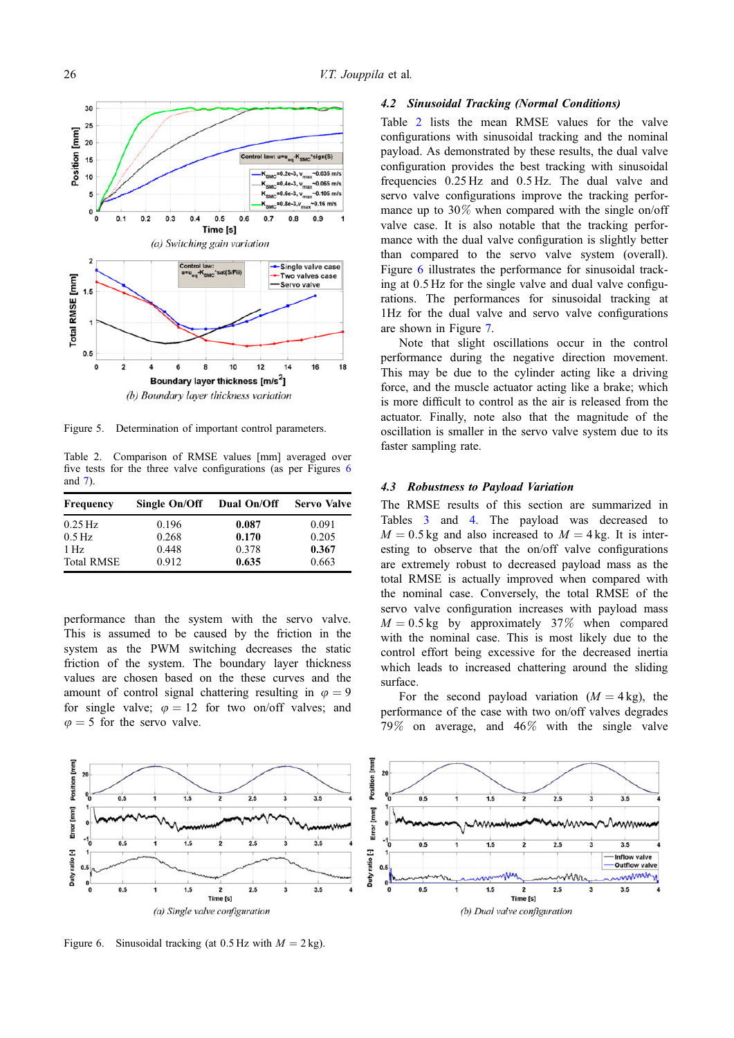<span id="page-7-0"></span>

Figure 5. Determination of important control parameters.

Table 2. Comparison of RMSE values [mm] averaged over five tests for the three valve configurations (as per Figures 6 and [7](#page-8-0)).

| Frequency           | Single On/Off | Dual On/Off | <b>Servo Valve</b> |
|---------------------|---------------|-------------|--------------------|
| $0.25$ Hz           | 0.196         | 0.087       | 0.091              |
| $0.5 \,\mathrm{Hz}$ | 0.268         | 0.170       | 0.205              |
| $1\,\mathrm{Hz}$    | 0.448         | 0.378       | 0.367              |
| <b>Total RMSE</b>   | 0.912         | 0.635       | 0.663              |

performance than the system with the servo valve. This is assumed to be caused by the friction in the system as the PWM switching decreases the static friction of the system. The boundary layer thickness values are chosen based on the these curves and the amount of control signal chattering resulting in  $\varphi = 9$ for single valve;  $\varphi = 12$  for two on/off valves; and  $\varphi = 5$  for the servo valve.

#### Position [mm]  $20$  $\overline{a}$ ÷  $25$  $35$ Error [mm]  $25$  $3.5$ Duty ratio [-]  $0.1$  $\overline{\phantom{0}}^0$  $0.5$  $3.5$  $1.5$  $2.5$ 3 Time [s]

(a) Single valve configuration

Figure 6. Sinusoidal tracking (at 0.5 Hz with  $M = 2$  kg).

# 4.2 Sinusoidal Tracking (Normal Conditions)

Table 2 lists the mean RMSE values for the valve configurations with sinusoidal tracking and the nominal payload. As demonstrated by these results, the dual valve configuration provides the best tracking with sinusoidal frequencies 0:25 Hz and 0:5 Hz. The dual valve and servo valve configurations improve the tracking performance up to 30% when compared with the single on/off valve case. It is also notable that the tracking performance with the dual valve configuration is slightly better than compared to the servo valve system (overall). Figure 6 illustrates the performance for sinusoidal tracking at 0:5 Hz for the single valve and dual valve configurations. The performances for sinusoidal tracking at 1Hz for the dual valve and servo valve configurations are shown in Figure [7.](#page-8-0)

Note that slight oscillations occur in the control performance during the negative direction movement. This may be due to the cylinder acting like a driving force, and the muscle actuator acting like a brake; which is more difficult to control as the air is released from the actuator. Finally, note also that the magnitude of the oscillation is smaller in the servo valve system due to its faster sampling rate.

#### 4.3 Robustness to Payload Variation

The RMSE results of this section are summarized in Tables [3](#page-8-0) and [4.](#page-8-0) The payload was decreased to  $M = 0.5$  kg and also increased to  $M = 4$  kg. It is interesting to observe that the on/off valve configurations are extremely robust to decreased payload mass as the total RMSE is actually improved when compared with the nominal case. Conversely, the total RMSE of the servo valve configuration increases with payload mass  $M = 0.5$  kg by approximately 37% when compared with the nominal case. This is most likely due to the control effort being excessive for the decreased inertia which leads to increased chattering around the sliding surface.

For the second payload variation  $(M = 4 \text{ kg})$ , the performance of the case with two on/off valves degrades 79% on average, and 46% with the single valve

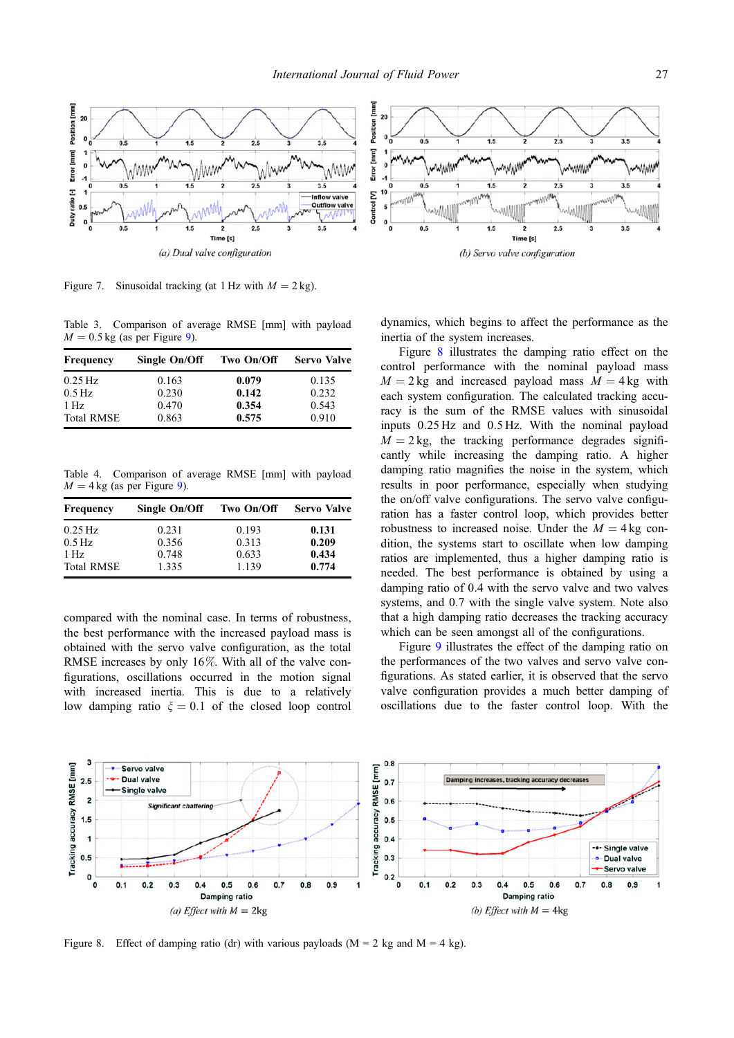<span id="page-8-0"></span>

Figure 7. Sinusoidal tracking (at 1 Hz with  $M = 2$  kg).

Table 3. Comparison of average RMSE [mm] with payload  $M = 0.5$  kg (as per Figure [9](#page-9-0)).

| <b>Frequency</b>    | Single On/Off | Two On/Off | <b>Servo Valve</b> |
|---------------------|---------------|------------|--------------------|
| $0.25$ Hz           | 0.163         | 0.079      | 0.135              |
| $0.5 \,\mathrm{Hz}$ | 0.230         | 0.142      | 0.232              |
| $1\,\mathrm{Hz}$    | 0.470         | 0.354      | 0.543              |
| <b>Total RMSE</b>   | 0.863         | 0.575      | 0.910              |

Table 4. Comparison of average RMSE [mm] with payload  $M = 4 \text{ kg}$  (as per Figure [9](#page-9-0)).

| <b>Frequency</b>    | Single On/Off | Two On/Off | <b>Servo Valve</b> |
|---------------------|---------------|------------|--------------------|
| $0.25$ Hz           | 0.231         | 0.193      | 0.131              |
| $0.5 \,\mathrm{Hz}$ | 0.356         | 0.313      | 0.209              |
| $1\,\mathrm{Hz}$    | 0.748         | 0.633      | 0.434              |
| <b>Total RMSE</b>   | 1.335         | 1.139      | 0.774              |

compared with the nominal case. In terms of robustness, the best performance with the increased payload mass is obtained with the servo valve configuration, as the total RMSE increases by only 16%. With all of the valve configurations, oscillations occurred in the motion signal with increased inertia. This is due to a relatively low damping ratio  $\xi = 0.1$  of the closed loop control dynamics, which begins to affect the performance as the inertia of the system increases.

Figure 8 illustrates the damping ratio effect on the control performance with the nominal payload mass  $M = 2$  kg and increased payload mass  $M = 4$  kg with each system configuration. The calculated tracking accuracy is the sum of the RMSE values with sinusoidal inputs 0:25 Hz and 0:5 Hz. With the nominal payload  $M = 2$  kg, the tracking performance degrades significantly while increasing the damping ratio. A higher damping ratio magnifies the noise in the system, which results in poor performance, especially when studying the on/off valve configurations. The servo valve configuration has a faster control loop, which provides better robustness to increased noise. Under the  $M = 4 \text{ kg}$  condition, the systems start to oscillate when low damping ratios are implemented, thus a higher damping ratio is needed. The best performance is obtained by using a damping ratio of 0.4 with the servo valve and two valves systems, and 0.7 with the single valve system. Note also that a high damping ratio decreases the tracking accuracy which can be seen amongst all of the configurations.

Figure [9](#page-9-0) illustrates the effect of the damping ratio on the performances of the two valves and servo valve configurations. As stated earlier, it is observed that the servo valve configuration provides a much better damping of oscillations due to the faster control loop. With the



Figure 8. Effect of damping ratio (dr) with various payloads ( $M = 2$  kg and  $M = 4$  kg).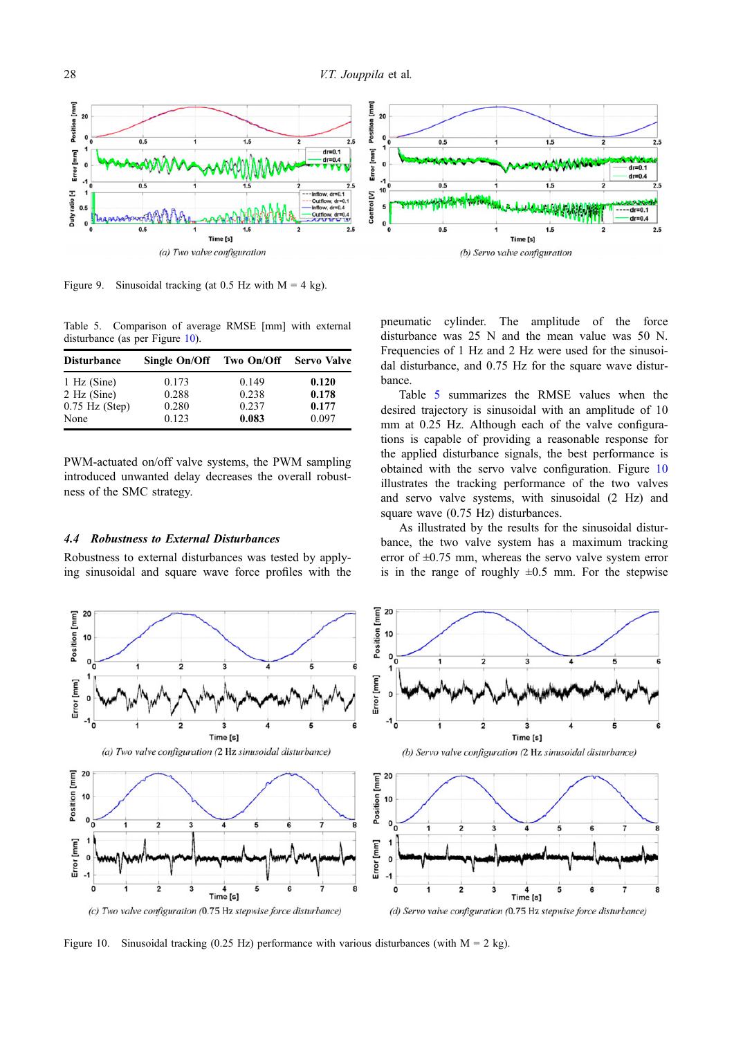<span id="page-9-0"></span>

Figure 9. Sinusoidal tracking (at 0.5 Hz with  $M = 4$  kg).

Table 5. Comparison of average RMSE [mm] with external disturbance (as per Figure 10).

| <b>Disturbance</b> | Single On/Off Two On/Off |       | <b>Servo Valve</b> |
|--------------------|--------------------------|-------|--------------------|
| $1$ Hz (Sine)      | 0.173                    | 0.149 | 0.120              |
| $2$ Hz (Sine)      | 0.288                    | 0.238 | 0.178              |
| $0.75$ Hz (Step)   | 0.280                    | 0.237 | 0.177              |
| None               | 0.123                    | 0.083 | 0.097              |

PWM-actuated on/off valve systems, the PWM sampling introduced unwanted delay decreases the overall robustness of the SMC strategy.

# 4.4 Robustness to External Disturbances

Robustness to external disturbances was tested by applying sinusoidal and square wave force profiles with the pneumatic cylinder. The amplitude of the force disturbance was 25 N and the mean value was 50 N. Frequencies of 1 Hz and 2 Hz were used for the sinusoidal disturbance, and 0.75 Hz for the square wave disturbance.

Table 5 summarizes the RMSE values when the desired trajectory is sinusoidal with an amplitude of 10 mm at 0.25 Hz. Although each of the valve configurations is capable of providing a reasonable response for the applied disturbance signals, the best performance is obtained with the servo valve configuration. Figure 10 illustrates the tracking performance of the two valves and servo valve systems, with sinusoidal (2 Hz) and square wave (0.75 Hz) disturbances.

As illustrated by the results for the sinusoidal disturbance, the two valve system has a maximum tracking error of  $\pm 0.75$  mm, whereas the servo valve system error is in the range of roughly  $\pm 0.5$  mm. For the stepwise



Figure 10. Sinusoidal tracking (0.25 Hz) performance with various disturbances (with  $M = 2$  kg).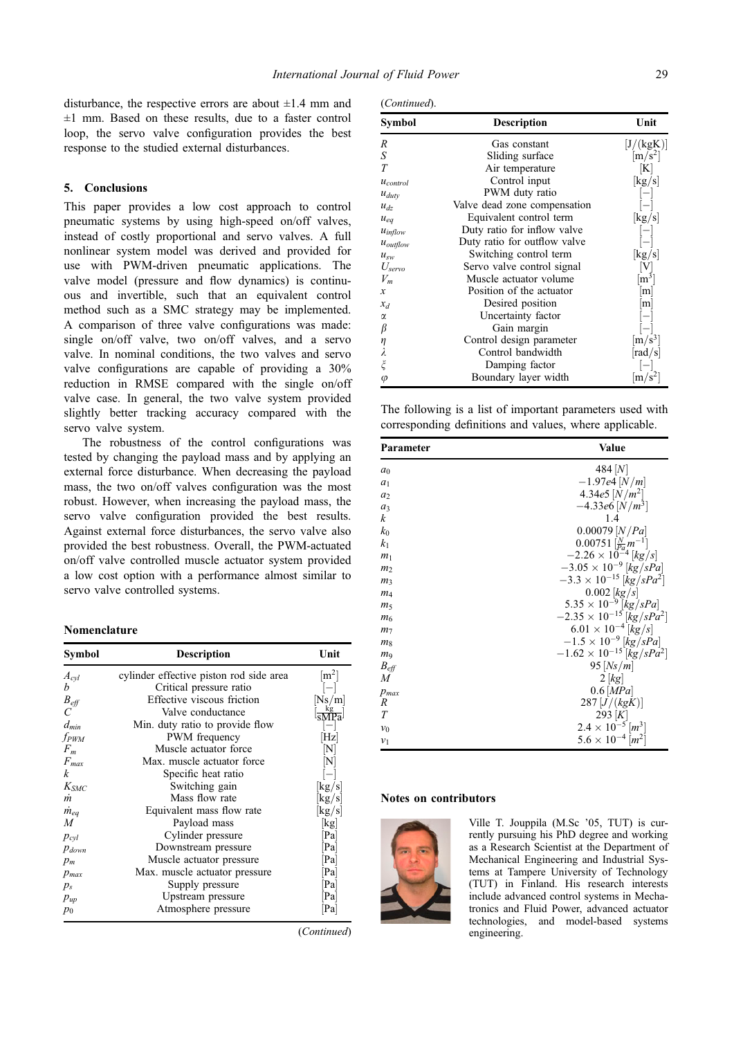<span id="page-10-0"></span>disturbance, the respective errors are about  $\pm 1.4$  mm and  $\pm 1$  mm. Based on these results, due to a faster control loop, the servo valve configuration provides the best response to the studied external disturbances.

# 5. Conclusions

This paper provides a low cost approach to control pneumatic systems by using high-speed on/off valves, instead of costly proportional and servo valves. A full nonlinear system model was derived and provided for use with PWM-driven pneumatic applications. The valve model (pressure and flow dynamics) is continuous and invertible, such that an equivalent control method such as a SMC strategy may be implemented. A comparison of three valve configurations was made: single on/off valve, two on/off valves, and a servo valve. In nominal conditions, the two valves and servo valve configurations are capable of providing a 30% reduction in RMSE compared with the single on/off valve case. In general, the two valve system provided slightly better tracking accuracy compared with the servo valve system.

The robustness of the control configurations was tested by changing the payload mass and by applying an external force disturbance. When decreasing the payload mass, the two on/off valves configuration was the most robust. However, when increasing the payload mass, the servo valve configuration provided the best results. Against external force disturbances, the servo valve also provided the best robustness. Overall, the PWM-actuated on/off valve controlled muscle actuator system provided a low cost option with a performance almost similar to servo valve controlled systems.

# Nomenclature

| Symbol             | Description                             | Unit                       |
|--------------------|-----------------------------------------|----------------------------|
| $A_{cyl}$          | cylinder effective piston rod side area | $\rm [m^2]$                |
| h                  | Critical pressure ratio                 |                            |
| $B_{\text{eff}}$   | Effective viscous friction              | Ns/m                       |
| $\overline{C}$     | Valve conductance                       |                            |
| $d_{min}$          | Min. duty ratio to provide flow         |                            |
| fpwm               | PWM frequency                           | Hz                         |
| $F_m$              | Muscle actuator force                   |                            |
| $F_{\textit{max}}$ | Max. muscle actuator force              |                            |
| k                  | Specific heat ratio                     |                            |
| $K_{SMC}$          | Switching gain                          | kg/s                       |
| m                  | Mass flow rate                          | kg/s                       |
| $\dot{m}_{eq}$     | Equivalent mass flow rate               | $ {\rm kg/s} $             |
| M                  | Payload mass                            | $\left[\mathrm{kg}\right]$ |
| $p_{cyl}$          | Cylinder pressure                       | Pa                         |
| $p_{down}$         | Downstream pressure                     | Pa                         |
| $p_m$              | Muscle actuator pressure                | Pa                         |
| $p_{max}$          | Max. muscle actuator pressure           | Pa                         |
| $p_{s}$            | Supply pressure                         | Pa                         |
| $p_{up}$           | Upstream pressure                       | Pa                         |
| $p_0$              | Atmosphere pressure                     | Pa                         |

(Continued)

| (Continued). |  |
|--------------|--|
|              |  |

| Symbol          | <b>Description</b>           | Unit            |
|-----------------|------------------------------|-----------------|
| R               | Gas constant                 | [J/(kgK)]       |
| S               | Sliding surface              | $\rm [m/s^2]$   |
| T               | Air temperature              | $ {\bf K} $     |
| $u_{control}$   | Control input                | kg/s            |
| $u_{duty}$      | PWM duty ratio               |                 |
| $u_{dz}$        | Valve dead zone compensation |                 |
| $u_{eq}$        | Equivalent control term      | kg/s            |
| $u_{inflow}$    | Duty ratio for inflow valve  |                 |
| $u_{outflow}$   | Duty ratio for outflow valve |                 |
| $u_{sw}$        | Switching control term       | kg/s            |
| $U_{servo}$     | Servo valve control signal   |                 |
| $V_m$           | Muscle actuator volume       | $ m^3 $         |
| x               | Position of the actuator     | m               |
| $x_d$           | Desired position             | m               |
| $\alpha$        | Uncertainty factor           |                 |
| β               | Gain margin                  |                 |
| η               | Control design parameter     | $ m/s^3 $       |
| λ               | Control bandwidth            | $ {\rm rad/s} $ |
| $\tilde{\zeta}$ | Damping factor               |                 |
| $\varphi$       | Boundary layer width         | $ m/s^2 $       |

The following is a list of important parameters used with corresponding definitions and values, where applicable.

| Parameter        | Value                                          |
|------------------|------------------------------------------------|
| a <sub>0</sub>   | 484 $ N $                                      |
| $a_1$            | $-1.97e4$ $[N/m]$                              |
| a <sub>2</sub>   | 4.34e5 $[N/m^2]$                               |
| $a_3$            | $-4.33e6$ [N/m <sup>3</sup> ]                  |
| k                | 1.4                                            |
| $k_0$            | $0.00079$ [ <i>N</i> / <i>Pa</i> ]             |
| k <sub>1</sub>   | $0.00751\left[\frac{N}{p_a}m^{-1}\right]$      |
| m <sub>1</sub>   | $-2.26 \times 10^{-4}$ [kg/s]                  |
| m <sub>2</sub>   | $-3.05 \times 10^{-9}$ [kg/sPa]                |
| m <sub>3</sub>   | $-3.3 \times 10^{-15}$ [kg/sPa <sup>2</sup> ]  |
| m <sub>4</sub>   | $0.002$ [kg/s]                                 |
| m <sub>5</sub>   | $5.35 \times 10^{-9}$ [kg/sPa]                 |
| m <sub>6</sub>   | $-2.35 \times 10^{-15}$ [kg/sPa <sup>2</sup> ] |
| m <sub>7</sub>   | $6.01 \times 10^{-4}$ [kg/s]                   |
| m <sub>8</sub>   | $-1.5 \times 10^{-9}$ [kg/sPa]                 |
| m <sub>9</sub>   | $-1.62 \times 10^{-15}$ [kg/sPa <sup>2</sup> ] |
| $B_{\text{eff}}$ | 95 $[Ns/m]$                                    |
| M                | 2[kg]                                          |
| $p_{max}$        | $0.6$ [ <i>MPa</i> ]                           |
| R                | 287 [J/(kgK)]                                  |
| T                | 293 $ K $                                      |
| $v_0$            | $2.4 \times 10^{-5}$ [m <sup>3</sup> ]         |
| $v_1$            | $5.6 \times 10^{-4}$ [m <sup>2</sup> ]         |

#### Notes on contributors



Ville T. Jouppila (M.Sc '05, TUT) is currently pursuing his PhD degree and working as a Research Scientist at the Department of Mechanical Engineering and Industrial Systems at Tampere University of Technology (TUT) in Finland. His research interests include advanced control systems in Mechatronics and Fluid Power, advanced actuator technologies, and model-based systems engineering.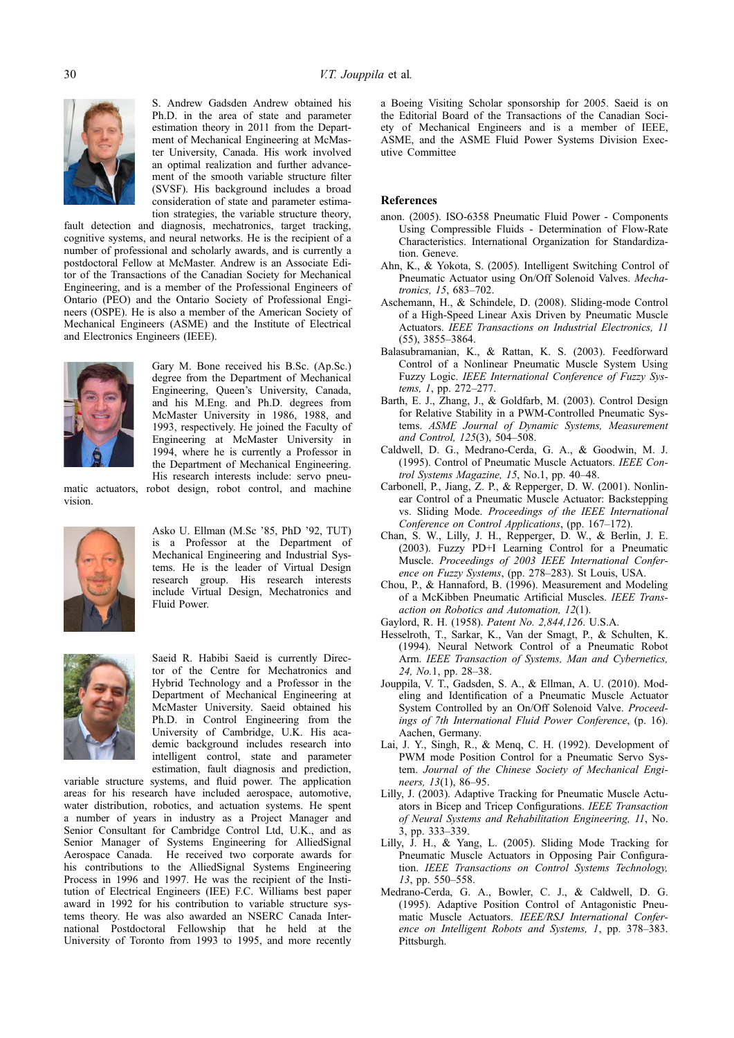<span id="page-11-0"></span>

S. Andrew Gadsden Andrew obtained his Ph.D. in the area of state and parameter estimation theory in 2011 from the Department of Mechanical Engineering at McMaster University, Canada. His work involved an optimal realization and further advancement of the smooth variable structure filter (SVSF). His background includes a broad consideration of state and parameter estimation strategies, the variable structure theory,

fault detection and diagnosis, mechatronics, target tracking, cognitive systems, and neural networks. He is the recipient of a number of professional and scholarly awards, and is currently a postdoctoral Fellow at McMaster. Andrew is an Associate Editor of the Transactions of the Canadian Society for Mechanical Engineering, and is a member of the Professional Engineers of Ontario (PEO) and the Ontario Society of Professional Engineers (OSPE). He is also a member of the American Society of Mechanical Engineers (ASME) and the Institute of Electrical and Electronics Engineers (IEEE).



Gary M. Bone received his B.Sc. (Ap.Sc.) degree from the Department of Mechanical Engineering, Queen's University, Canada, and his M.Eng. and Ph.D. degrees from McMaster University in 1986, 1988, and 1993, respectively. He joined the Faculty of Engineering at McMaster University in 1994, where he is currently a Professor in the Department of Mechanical Engineering. His research interests include: servo pneu-

matic actuators, robot design, robot control, and machine vision.



Asko U. Ellman (M.Sc '85, PhD '92, TUT) is a Professor at the Department of Mechanical Engineering and Industrial Systems. He is the leader of Virtual Design research group. His research interests include Virtual Design, Mechatronics and Fluid Power.



Saeid R. Habibi Saeid is currently Director of the Centre for Mechatronics and Hybrid Technology and a Professor in the Department of Mechanical Engineering at McMaster University. Saeid obtained his Ph.D. in Control Engineering from the University of Cambridge, U.K. His academic background includes research into intelligent control, state and parameter estimation, fault diagnosis and prediction,

variable structure systems, and fluid power. The application areas for his research have included aerospace, automotive, water distribution, robotics, and actuation systems. He spent a number of years in industry as a Project Manager and Senior Consultant for Cambridge Control Ltd, U.K., and as Senior Manager of Systems Engineering for AlliedSignal Aerospace Canada. He received two corporate awards for his contributions to the AlliedSignal Systems Engineering Process in 1996 and 1997. He was the recipient of the Institution of Electrical Engineers (IEE) F.C. Williams best paper award in 1992 for his contribution to variable structure systems theory. He was also awarded an NSERC Canada International Postdoctoral Fellowship that he held at the University of Toronto from 1993 to 1995, and more recently a Boeing Visiting Scholar sponsorship for 2005. Saeid is on the Editorial Board of the Transactions of the Canadian Society of Mechanical Engineers and is a member of IEEE, ASME, and the ASME Fluid Power Systems Division Executive Committee

# References

- anon. (2005). ISO-6358 Pneumatic Fluid Power Components Using Compressible Fluids - Determination of Flow-Rate Characteristics. International Organization for Standardization. Geneve.
- Ahn, K., & Yokota, S. (2005). Intelligent Switching Control of Pneumatic Actuator using On/Off Solenoid Valves. Mechatronics, 15, 683–702.
- Aschemann, H., & Schindele, D. (2008). Sliding-mode Control of a High-Speed Linear Axis Driven by Pneumatic Muscle Actuators. IEEE Transactions on Industrial Electronics, 11 (55), 3855–3864.
- Balasubramanian, K., & Rattan, K. S. (2003). Feedforward Control of a Nonlinear Pneumatic Muscle System Using Fuzzy Logic. IEEE International Conference of Fuzzy Systems, 1, pp. 272–277.
- Barth, E. J., Zhang, J., & Goldfarb, M. (2003). Control Design for Relative Stability in a PWM-Controlled Pneumatic Systems. ASME Journal of Dynamic Systems, Measurement and Control, 125(3), 504–508.
- Caldwell, D. G., Medrano-Cerda, G. A., & Goodwin, M. J. (1995). Control of Pneumatic Muscle Actuators. IEEE Control Systems Magazine, 15, No.1, pp. 40–48.
- Carbonell, P., Jiang, Z. P., & Repperger, D. W. (2001). Nonlinear Control of a Pneumatic Muscle Actuator: Backstepping vs. Sliding Mode. Proceedings of the IEEE International Conference on Control Applications, (pp. 167–172).
- Chan, S. W., Lilly, J. H., Repperger, D. W., & Berlin, J. E. (2003). Fuzzy PD+I Learning Control for a Pneumatic Muscle. Proceedings of 2003 IEEE International Conference on Fuzzy Systems, (pp. 278–283). St Louis, USA.
- Chou, P., & Hannaford, B. (1996). Measurement and Modeling of a McKibben Pneumatic Artificial Muscles. IEEE Transaction on Robotics and Automation, 12(1).
- Gaylord, R. H. (1958). Patent No. 2,844,126. U.S.A.
- Hesselroth, T., Sarkar, K., Van der Smagt, P., & Schulten, K. (1994). Neural Network Control of a Pneumatic Robot Arm. IEEE Transaction of Systems, Man and Cybernetics, 24, No.1, pp. 28–38.
- Jouppila, V. T., Gadsden, S. A., & Ellman, A. U. (2010). Modeling and Identification of a Pneumatic Muscle Actuator System Controlled by an On/Off Solenoid Valve. Proceedings of 7th International Fluid Power Conference, (p. 16). Aachen, Germany.
- Lai, J. Y., Singh, R., & Menq, C. H. (1992). Development of PWM mode Position Control for a Pneumatic Servo System. Journal of the Chinese Society of Mechanical Engineers, 13(1), 86–95.
- Lilly, J. (2003). Adaptive Tracking for Pneumatic Muscle Actuators in Bicep and Tricep Configurations. IEEE Transaction of Neural Systems and Rehabilitation Engineering, 11, No. 3, pp. 333–339.
- Lilly, J. H., & Yang, L. (2005). Sliding Mode Tracking for Pneumatic Muscle Actuators in Opposing Pair Configuration. IEEE Transactions on Control Systems Technology, 13, pp. 550–558.
- Medrano-Cerda, G. A., Bowler, C. J., & Caldwell, D. G. (1995). Adaptive Position Control of Antagonistic Pneumatic Muscle Actuators. IEEE/RSJ International Conference on Intelligent Robots and Systems, 1, pp. 378–383. Pittsburgh.